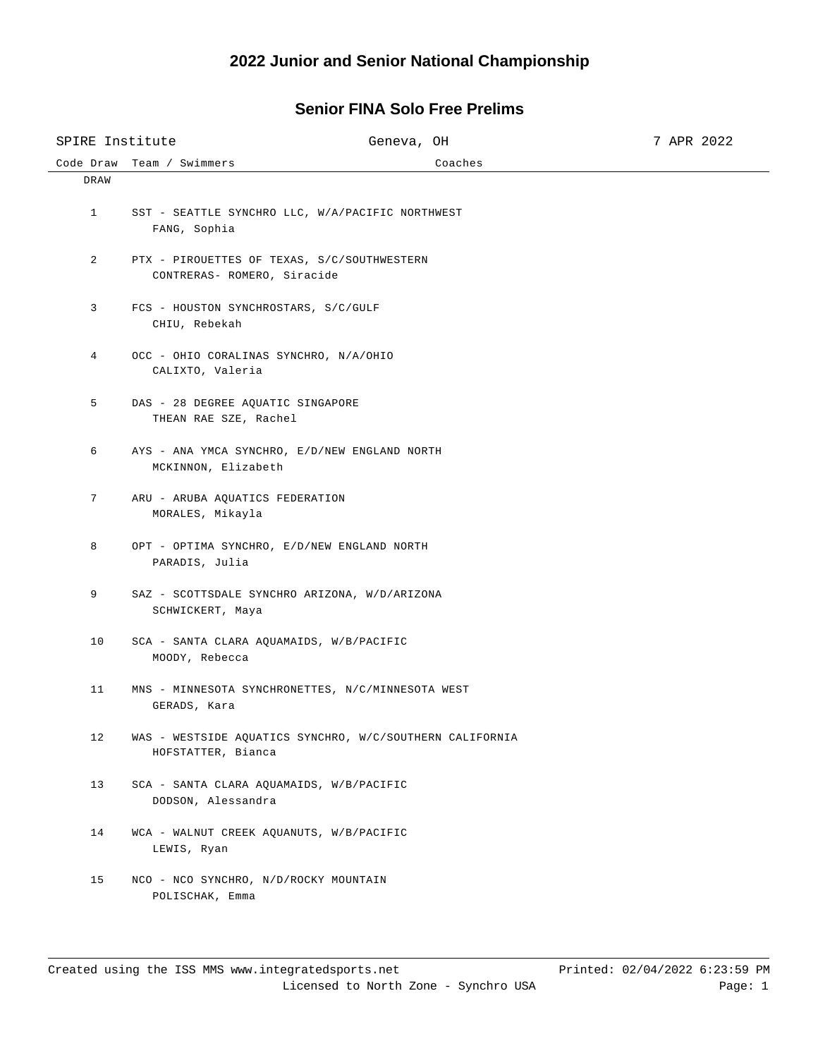## Code Draw Team / Swimmers Coaches SPIRE Institute  $G$  Geneva, OH 3 7 APR 2022 DRAW 1 SST - SEATTLE SYNCHRO LLC, W/A/PACIFIC NORTHWEST FANG, Sophia 2 PTX - PIROUETTES OF TEXAS, S/C/SOUTHWESTERN CONTRERAS- ROMERO, Siracide 3 FCS - HOUSTON SYNCHROSTARS, S/C/GULF CHIU, Rebekah 4 OCC - OHIO CORALINAS SYNCHRO, N/A/OHIO CALIXTO, Valeria 5 DAS - 28 DEGREE AQUATIC SINGAPORE THEAN RAE SZE, Rachel 6 AYS - ANA YMCA SYNCHRO, E/D/NEW ENGLAND NORTH MCKINNON, Elizabeth 7 ARU - ARUBA AQUATICS FEDERATION MORALES, Mikayla 8 OPT - OPTIMA SYNCHRO, E/D/NEW ENGLAND NORTH PARADIS, Julia 9 SAZ - SCOTTSDALE SYNCHRO ARIZONA, W/D/ARIZONA SCHWICKERT, Maya 10 SCA - SANTA CLARA AQUAMAIDS, W/B/PACIFIC MOODY, Rebecca 11 MNS - MINNESOTA SYNCHRONETTES, N/C/MINNESOTA WEST GERADS, Kara 12 WAS - WESTSIDE AQUATICS SYNCHRO, W/C/SOUTHERN CALIFORNIA HOFSTATTER, Bianca 13 SCA - SANTA CLARA AQUAMAIDS, W/B/PACIFIC DODSON, Alessandra 14 WCA - WALNUT CREEK AQUANUTS, W/B/PACIFIC LEWIS, Ryan 15 NCO - NCO SYNCHRO, N/D/ROCKY MOUNTAIN POLISCHAK, Emma

## **Senior FINA Solo Free Prelims**